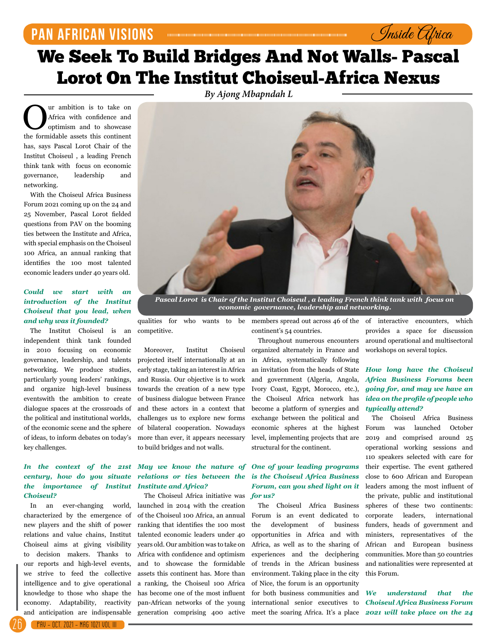## **PAN AFRICAN VISIONs**

# We Seek To Build Bridges And Not Walls- Pascal Lorot On The Institut Choiseul-Africa Nexus

*By Ajong Mbapndah L*

**O**ur ambition is to take on<br>Africa with confidence and<br>to showcase<br>the formidable assets this continent Africa with confidence and optimism and to showcase the formidable assets this continent has, says Pascal Lorot Chair of the Institut Choiseul , a leading French think tank with focus on economic governance, leadership and networking.

With the Choiseul Africa Business Forum 2021 coming up on the 24 and 25 November, Pascal Lorot fielded questions from PAV on the booming ties between the Institute and Africa, with special emphasis on the Choiseul 100 Africa, an annual ranking that identifies the 100 most talented economic leaders under 40 years old.

#### *Could we start with an introduction of the Institut Choiseul that you lead, when and why was it founded?*

The Institut Choiseul is an independent think tank founded in 2010 focusing on economic governance, leadership, and talents networking. We produce studies, particularly young leaders' rankings, and organize high-level business eventswith the ambition to create dialogue spaces at the crossroads of the political and institutional worlds, of the economic scene and the sphere of ideas, to inform debates on today's key challenges.

#### *In the context of the 21st century, how do you situate the importance of Institut Choiseul?*

In an ever-changing world, characterized by the emergence of new players and the shift of power relations and value chains, Institut Choiseul aims at giving visibility to decision makers. Thanks to our reports and high-level events, we strive to feed the collective intelligence and to give operational knowledge to those who shape the economy. Adaptability, reactivity and anticipation are indispensable



*Pascal Lorot is Chair of the Institut Choiseul , a leading French think tank with focus on economic governance, leadership and networking.*

competitive.

Moreover, Institut Choiseul projected itself internationally at an early stage, taking an interest in Africa and Russia. Our objective is to work towards the creation of a new type of business dialogue between France and these actors in a context that challenges us to explore new forms of bilateral cooperation. Nowadays more than ever, it appears necessary to build bridges and not walls.

#### *May we know the nature of relations or ties between the Institute and Africa?*

The Choiseul Africa initiative was launched in 2014 with the creation of the Choiseul 100 Africa, an annual ranking that identifies the 100 most talented economic leaders under 40 years old. Our ambition was to take on Africa with confidence and optimism and to showcase the formidable assets this continent has. More than a ranking, the Choiseul 100 Africa has become one of the most influent pan-African networks of the young generation comprising 400 active

continent's 54 countries.

Throughout numerous encounters organized alternately in France and in Africa, systematically following an invitation from the heads of State and government (Algeria, Angola, Ivory Coast, Egypt, Morocco, etc.), the Choiseul Africa network has become a platform of synergies and exchange between the political and economic spheres at the highest level, implementing projects that are structural for the continent.

#### *One of your leading programs is the Choiseul Africa Business Forum, can you shed light on it for us?*

The Choiseul Africa Business Forum is an event dedicated to the development of business opportunities in Africa and with Africa, as well as to the sharing of experiences and the deciphering of trends in the African business environment. Taking place in the city of Nice, the forum is an opportunity for both business communities and international senior executives to

qualities for who wants to be members spread out across 46 of the of interactive encounters, which provides a space for discussion around operational and multisectoral workshops on several topics.

Inside Africa

#### *How long have the Choiseul Africa Business Forums been going for, and may we have an idea on the profile of people who typically attend?*

The Choiseul Africa Business Forum was launched October 2019 and comprised around 25 operational working sessions and 110 speakers selected with care for their expertise. The event gathered close to 600 African and European leaders among the most influent of the private, public and institutional spheres of these two continents: corporate leaders, international funders, heads of government and ministers, representatives of the African and European business communities. More than 50 countries and nationalities were represented at this Forum.

meet the soaring Africa. It's a place *2021 will take place on the 24 We understand that the Choiseul Africa Business Forum*